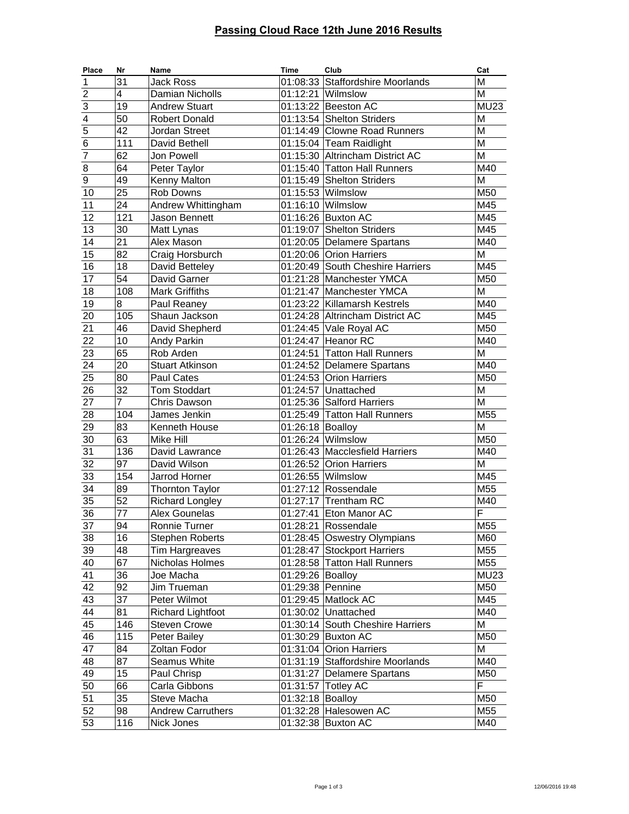## **Passing Cloud Race 12th June 2016 Results**

| Place           | Nr              | Name                     | <b>Time</b>      | Club                             | Cat                        |
|-----------------|-----------------|--------------------------|------------------|----------------------------------|----------------------------|
| 1               | 31              | <b>Jack Ross</b>         |                  | 01:08:33 Staffordshire Moorlands | M                          |
| $\overline{2}$  | $\overline{4}$  | Damian Nicholls          |                  | $01:12:21$ Wilmslow              | M                          |
| $\overline{3}$  | 19              | <b>Andrew Stuart</b>     |                  | 01:13:22 Beeston AC              | MU23                       |
| $\overline{4}$  | 50              | <b>Robert Donald</b>     |                  | 01:13:54 Shelton Striders        | M                          |
| $\overline{5}$  | 42              | Jordan Street            |                  | 01:14:49 Clowne Road Runners     | M                          |
| $\overline{6}$  | 111             | David Bethell            |                  | 01:15:04 Team Raidlight          | M                          |
| $\overline{7}$  | 62              | Jon Powell               |                  | 01:15:30 Altrincham District AC  | M                          |
| 8               | 64              | Peter Taylor             |                  | 01:15:40 Tatton Hall Runners     | M40                        |
| $\overline{9}$  | 49              | Kenny Malton             |                  | 01:15:49 Shelton Striders        | M                          |
| 10              | 25              | Rob Downs                |                  | 01:15:53 Wilmslow                | M50                        |
| 11              | 24              | Andrew Whittingham       |                  | 01:16:10 Wilmslow                | $\overline{M}$ 45          |
| 12              | 121             | Jason Bennett            |                  | 01:16:26 Buxton AC               | $\overline{M}$ 45          |
| 13              | 30              | Matt Lynas               |                  | 01:19:07 Shelton Striders        | M45                        |
| 14              | $\overline{21}$ | Alex Mason               |                  | 01:20:05 Delamere Spartans       | M40                        |
| 15              | 82              | Craig Horsburch          |                  | 01:20:06 Orion Harriers          | M                          |
| 16              | 18              | David Betteley           |                  | 01:20:49 South Cheshire Harriers | $\overline{M}$ 45          |
| 17              | 54              | David Garner             |                  | 01:21:28 Manchester YMCA         | M <sub>50</sub>            |
| 18              | 108             | <b>Mark Griffiths</b>    |                  | 01:21:47 Manchester YMCA         | M                          |
| 19              | 8               | Paul Reaney              |                  | 01:23:22 Killamarsh Kestrels     | $\overline{\mathsf{M}}$ 40 |
| 20              | 105             | Shaun Jackson            |                  | 01:24:28 Altrincham District AC  | M45                        |
| 21              | 46              | David Shepherd           |                  | 01:24:45 Vale Royal AC           | M <sub>50</sub>            |
| 22              | 10              | <b>Andy Parkin</b>       |                  | 01:24:47 Heanor RC               | M40                        |
| $\overline{23}$ | 65              | Rob Arden                |                  | 01:24:51 Tatton Hall Runners     | M                          |
| 24              | 20              | <b>Stuart Atkinson</b>   |                  | 01:24:52 Delamere Spartans       | M40                        |
| 25              | 80              | Paul Cates               |                  | 01:24:53 Orion Harriers          | M <sub>50</sub>            |
| 26              | $\overline{32}$ | <b>Tom Stoddart</b>      |                  | 01:24:57 Unattached              | M                          |
| 27              | $\overline{7}$  | Chris Dawson             |                  | 01:25:36 Salford Harriers        | M                          |
| 28              | 104             | James Jenkin             |                  | 01:25:49 Tatton Hall Runners     | M <sub>55</sub>            |
| 29              | 83              | Kenneth House            | 01:26:18 Boalloy |                                  | M                          |
| 30              | 63              | <b>Mike Hill</b>         |                  | 01:26:24 Wilmslow                | M50                        |
| $\overline{31}$ | 136             | David Lawrance           |                  | 01:26:43 Macclesfield Harriers   | $\overline{M}40$           |
| $\overline{32}$ | 97              | David Wilson             |                  | 01:26:52 Orion Harriers          | M                          |
| 33              | 154             | Jarrod Horner            |                  | 01:26:55 Wilmslow                | M45                        |
| $\overline{34}$ | 89              | <b>Thornton Taylor</b>   |                  | 01:27:12 Rossendale              | M55                        |
| 35              | 52              | <b>Richard Longley</b>   |                  | 01:27:17 Trentham RC             | M40                        |
| $\overline{36}$ | 77              | Alex Gounelas            |                  | 01:27:41 Eton Manor AC           | F                          |
| $\overline{37}$ | 94              | Ronnie Turner            |                  | 01:28:21 Rossendale              | M <sub>55</sub>            |
| 38              | 16              | <b>Stephen Roberts</b>   |                  | 01:28:45 Oswestry Olympians      | M60                        |
| 39              | 48              | Tim Hargreaves           |                  | 01:28:47 Stockport Harriers      | M55                        |
| 40              | 67              | Nicholas Holmes          |                  | 01:28:58 Tatton Hall Runners     | M55                        |
| 41              | 36              | Joe Macha                | 01:29:26 Boalloy |                                  | <b>MU23</b>                |
| 42              | 92              | Jim Trueman              | 01:29:38 Pennine |                                  | M50                        |
| 43              | $\overline{37}$ | Peter Wilmot             |                  | 01:29:45 Matlock AC              | M45                        |
| 44              | 81              | <b>Richard Lightfoot</b> |                  | 01:30:02 Unattached              | M40                        |
| 45              | 146             | <b>Steven Crowe</b>      |                  | 01:30:14 South Cheshire Harriers | M                          |
| 46              | 115             | Peter Bailey             |                  | 01:30:29 Buxton AC               | M50                        |
| 47              | 84              | Zoltan Fodor             |                  | 01:31:04 Orion Harriers          | M                          |
| 48              | 87              | Seamus White             |                  | 01:31:19 Staffordshire Moorlands | M40                        |
| 49              | 15              | Paul Chrisp              |                  | 01:31:27 Delamere Spartans       | M50                        |
| 50              | 66              | Carla Gibbons            |                  | 01:31:57 Totley AC               | F                          |
| 51              | 35              | Steve Macha              | 01:32:18 Boalloy |                                  | M50                        |
| 52              | 98              | <b>Andrew Carruthers</b> |                  | 01:32:28 Halesowen AC            | M55                        |
| 53              | 116             | Nick Jones               |                  | 01:32:38 Buxton AC               | M40                        |
|                 |                 |                          |                  |                                  |                            |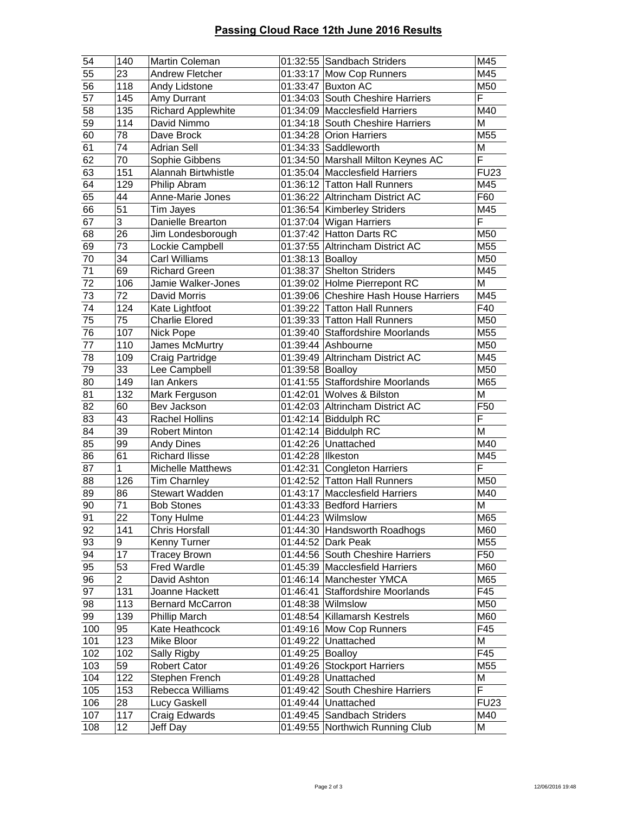## **Passing Cloud Race 12th June 2016 Results**

| 54              | 140             | Martin Coleman            |                    | 01:32:55 Sandbach Striders            | M45         |
|-----------------|-----------------|---------------------------|--------------------|---------------------------------------|-------------|
| 55              | 23              | <b>Andrew Fletcher</b>    |                    | 01:33:17 Mow Cop Runners              | M45         |
| 56              | 118             | Andy Lidstone             |                    | 01:33:47 Buxton AC                    | M50         |
| 57              | 145             | Amy Durrant               |                    | 01:34:03 South Cheshire Harriers      | F           |
| 58              | 135             | <b>Richard Applewhite</b> |                    | 01:34:09 Macclesfield Harriers        | M40         |
| 59              | 114             | David Nimmo               |                    | 01:34:18 South Cheshire Harriers      | M           |
| 60              | 78              | Dave Brock                |                    | 01:34:28 Orion Harriers               | M55         |
| 61              | 74              | <b>Adrian Sell</b>        |                    | 01:34:33 Saddleworth                  | M           |
| 62              | 70              | Sophie Gibbens            |                    | 01:34:50 Marshall Milton Keynes AC    | F           |
| 63              | 151             | Alannah Birtwhistle       |                    | 01:35:04   Macclesfield Harriers      | <b>FU23</b> |
| 64              | 129             | Philip Abram              |                    | 01:36:12 Tatton Hall Runners          | M45         |
| 65              | 44              | Anne-Marie Jones          |                    | 01:36:22 Altrincham District AC       | F60         |
| 66              | $\overline{51}$ | Tim Jayes                 |                    | 01:36:54 Kimberley Striders           | M45         |
| 67              | 3               | Danielle Brearton         |                    | 01:37:04 Wigan Harriers               | F           |
| 68              | $\overline{26}$ | Jim Londesborough         |                    | 01:37:42 Hatton Darts RC              | M50         |
| 69              | 73              | Lockie Campbell           |                    | 01:37:55 Altrincham District AC       | M55         |
| 70              | $\overline{34}$ | <b>Carl Williams</b>      | 01:38:13 Boalloy   |                                       | M50         |
| $\overline{71}$ | 69              | <b>Richard Green</b>      |                    | 01:38:37 Shelton Striders             | M45         |
| $\overline{72}$ | 106             | Jamie Walker-Jones        |                    | 01:39:02 Holme Pierrepont RC          | M           |
| $\overline{73}$ | 72              | <b>David Morris</b>       |                    | 01:39:06 Cheshire Hash House Harriers | M45         |
| 74              | 124             | Kate Lightfoot            |                    | 01:39:22 Tatton Hall Runners          | F40         |
| $\overline{75}$ | 75              | Charlie Elored            |                    | 01:39:33 Tatton Hall Runners          | M50         |
| 76              | 107             | Nick Pope                 |                    | 01:39:40 Staffordshire Moorlands      | M55         |
| $\overline{77}$ | 110             | James McMurtry            |                    | 01:39:44 Ashbourne                    | M50         |
| 78              | 109             | Craig Partridge           |                    | 01:39:49 Altrincham District AC       | M45         |
| 79              | 33              | Lee Campbell              | 01:39:58 Boalloy   |                                       | M50         |
| 80              | 149             | lan Ankers                |                    | 01:41:55 Staffordshire Moorlands      | M65         |
| 81              | 132             | Mark Ferguson             |                    | 01:42:01 Wolves & Bilston             | M           |
| 82              | 60              | Bev Jackson               |                    | 01:42:03 Altrincham District AC       | F50         |
| 83              | $\overline{43}$ | Rachel Hollins            |                    | 01:42:14 Biddulph RC                  | F           |
| 84              | 39              | <b>Robert Minton</b>      |                    | 01:42:14 Biddulph RC                  | M           |
| 85              | 99              | <b>Andy Dines</b>         |                    | 01:42:26 Unattached                   | M40         |
| 86              | 61              | <b>Richard Ilisse</b>     | 01:42:28  Ilkeston |                                       | M45         |
| 87              | 1               | <b>Michelle Matthews</b>  |                    | 01:42:31 Congleton Harriers           | F           |
| 88              | 126             | <b>Tim Charnley</b>       |                    | 01:42:52 Tatton Hall Runners          | M50         |
| 89              | 86              | Stewart Wadden            |                    | 01:43:17 Macclesfield Harriers        | M40         |
| 90              | $\overline{71}$ | <b>Bob Stones</b>         |                    | 01:43:33 Bedford Harriers             | M           |
| 91              | 22              | Tony Hulme                |                    | 01:44:23   Wilmslow                   | M65         |
| 92              | 141             | Chris Horsfall            |                    | 01:44:30 Handsworth Roadhogs          | M60         |
| 93              | 9               | Kenny Turner              |                    | 01:44:52 Dark Peak                    | M55         |
| 94              | 17              | Tracey Brown              |                    | 01:44:56 South Cheshire Harriers      | F50         |
| 95              | 53              | Fred Wardle               |                    | 01:45:39 Macclesfield Harriers        | M60         |
| 96              | $\overline{2}$  | David Ashton              |                    | 01:46:14 Manchester YMCA              | M65         |
| 97              | 131             | Joanne Hackett            |                    | 01:46:41 Staffordshire Moorlands      | F45         |
| 98              | 113             | Bernard McCarron          |                    | 01:48:38 Wilmslow                     | M50         |
| 99              | 139             | <b>Phillip March</b>      |                    | 01:48:54 Killamarsh Kestrels          | M60         |
| 100             | 95              | Kate Heathcock            |                    | 01:49:16 Mow Cop Runners              | F45         |
| 101             | 123             | Mike Bloor                |                    | 01:49:22 Unattached                   | M           |
| 102             | 102             | Sally Rigby               | 01:49:25 Boalloy   |                                       | F45         |
| 103             | 59              | <b>Robert Cator</b>       |                    | 01:49:26 Stockport Harriers           | M55         |
| 104             | 122             | Stephen French            |                    | 01:49:28 Unattached                   | M           |
| 105             | 153             | Rebecca Williams          |                    | 01:49:42 South Cheshire Harriers      | F           |
| 106             | 28              | Lucy Gaskell              |                    | 01:49:44 Unattached                   | <b>FU23</b> |
| 107             | 117             | Craig Edwards             |                    | 01:49:45 Sandbach Striders            | M40         |
| 108             | 12              | Jeff Day                  |                    | 01:49:55 Northwich Running Club       | M           |